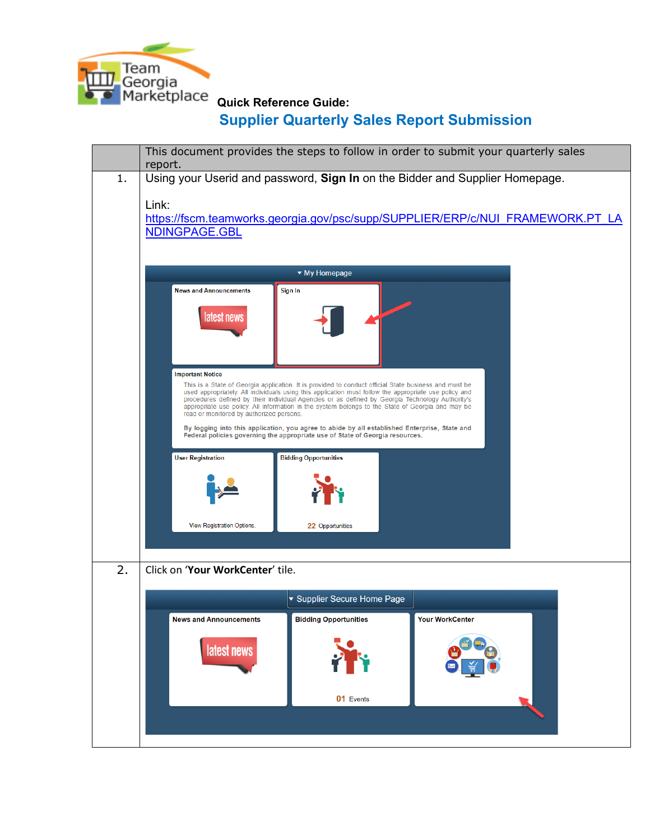

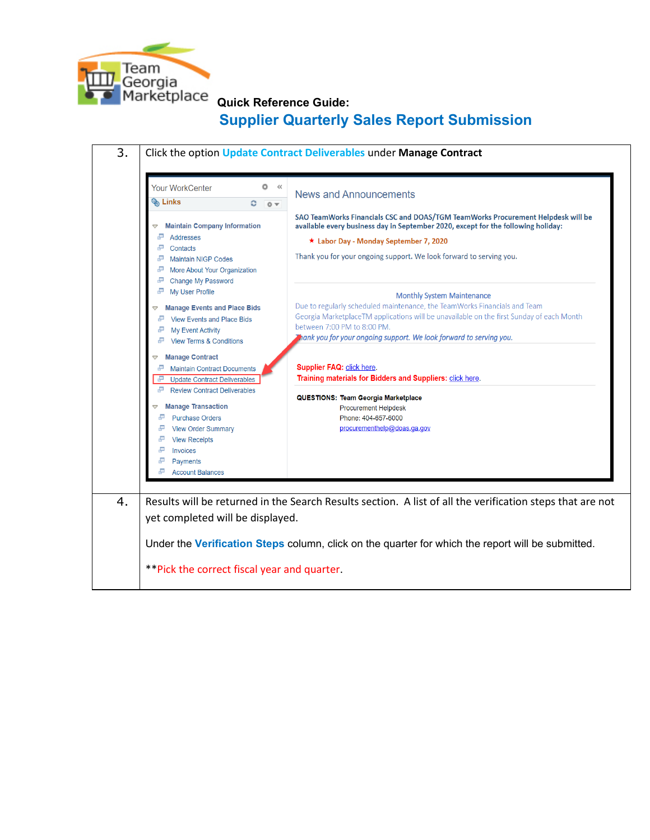

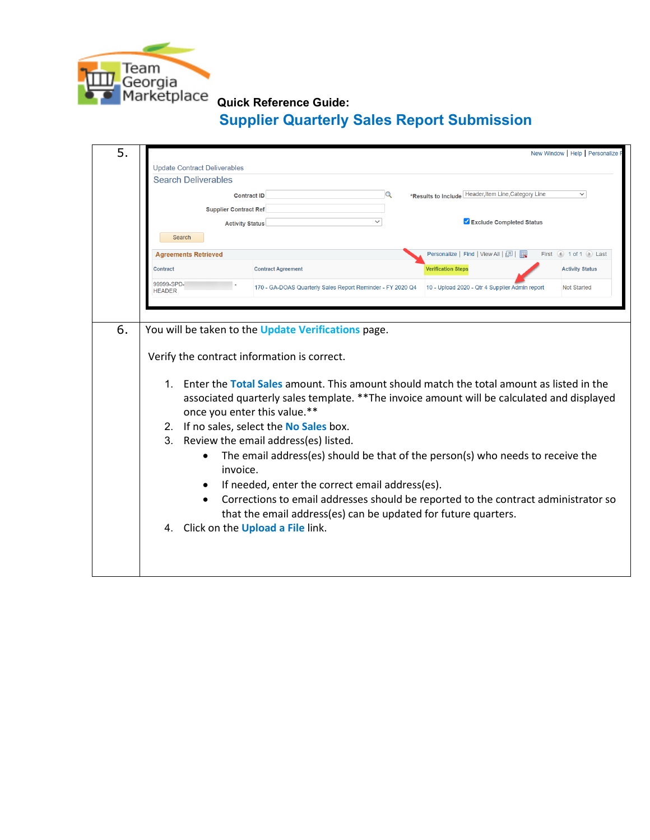

| 5. | New Window   Help   Personalize                                                                                                                                                                                                                                                                                                                                                                                                                                                                                                                                                                                                                                                                                     |
|----|---------------------------------------------------------------------------------------------------------------------------------------------------------------------------------------------------------------------------------------------------------------------------------------------------------------------------------------------------------------------------------------------------------------------------------------------------------------------------------------------------------------------------------------------------------------------------------------------------------------------------------------------------------------------------------------------------------------------|
|    | <b>Update Contract Deliverables</b>                                                                                                                                                                                                                                                                                                                                                                                                                                                                                                                                                                                                                                                                                 |
|    | <b>Search Deliverables</b>                                                                                                                                                                                                                                                                                                                                                                                                                                                                                                                                                                                                                                                                                          |
|    | Q<br>*Results to Include Header, Item Line, Category Line<br>$\checkmark$<br><b>Contract ID</b>                                                                                                                                                                                                                                                                                                                                                                                                                                                                                                                                                                                                                     |
|    | <b>Supplier Contract Ref</b>                                                                                                                                                                                                                                                                                                                                                                                                                                                                                                                                                                                                                                                                                        |
|    | Exclude Completed Status<br><b>Activity Status</b>                                                                                                                                                                                                                                                                                                                                                                                                                                                                                                                                                                                                                                                                  |
|    | Search                                                                                                                                                                                                                                                                                                                                                                                                                                                                                                                                                                                                                                                                                                              |
|    | Personalize   Find   View All   0   2<br><b>Agreements Retrieved</b><br>First $(4)$ 1 of 1 $(4)$ Last                                                                                                                                                                                                                                                                                                                                                                                                                                                                                                                                                                                                               |
|    | <b>Activity Status</b><br><b>Contract</b><br><b>Contract Agreement</b><br><b>Verification Steps</b>                                                                                                                                                                                                                                                                                                                                                                                                                                                                                                                                                                                                                 |
|    | 99999-SPD-<br>10 - Upload 2020 - Qtr 4 Supplier Admin report<br>170 - GA-DOAS Quarterly Sales Report Reminder - FY 2020 Q4<br><b>Not Started</b><br><b>HEADER</b>                                                                                                                                                                                                                                                                                                                                                                                                                                                                                                                                                   |
|    |                                                                                                                                                                                                                                                                                                                                                                                                                                                                                                                                                                                                                                                                                                                     |
| 6. | You will be taken to the Update Verifications page.                                                                                                                                                                                                                                                                                                                                                                                                                                                                                                                                                                                                                                                                 |
|    | Verify the contract information is correct.<br>Enter the Total Sales amount. This amount should match the total amount as listed in the<br>1.<br>associated quarterly sales template. ** The invoice amount will be calculated and displayed<br>once you enter this value.**<br>2. If no sales, select the No Sales box.<br>3. Review the email address(es) listed.<br>The email address(es) should be that of the person(s) who needs to receive the<br>invoice.<br>If needed, enter the correct email address(es).<br>Corrections to email addresses should be reported to the contract administrator so<br>that the email address(es) can be updated for future quarters.<br>4. Click on the Upload a File link. |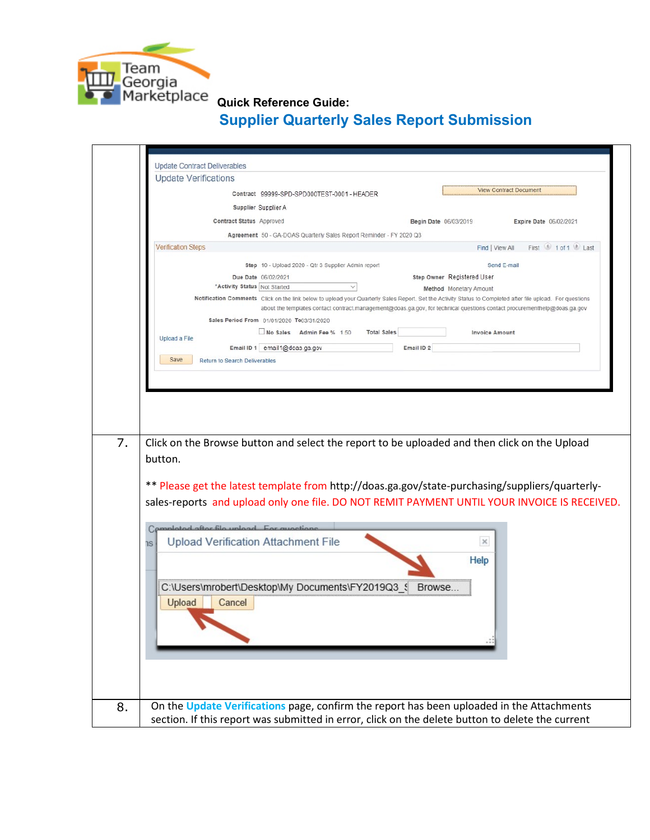

|                           | <b>Update Verifications</b>                                       |                                                                     |                    |                       |                            |                                                                                                                                                                                                                                                                                        |
|---------------------------|-------------------------------------------------------------------|---------------------------------------------------------------------|--------------------|-----------------------|----------------------------|----------------------------------------------------------------------------------------------------------------------------------------------------------------------------------------------------------------------------------------------------------------------------------------|
|                           |                                                                   | Contract 99999-SPD-SPD000TEST-0001 - HEADER                         |                    |                       |                            | <b>View Contract Document</b>                                                                                                                                                                                                                                                          |
|                           | Supplier Supplier A                                               |                                                                     |                    |                       |                            |                                                                                                                                                                                                                                                                                        |
|                           | Contract Status Approved                                          |                                                                     |                    |                       | Begin Date 06/03/2019      | Expire Date 06/02/2021                                                                                                                                                                                                                                                                 |
|                           |                                                                   | Agreement 50 - GA-DOAS Quarterly Sales Report Reminder - FY 2020 Q3 |                    |                       |                            |                                                                                                                                                                                                                                                                                        |
| <b>Verification Steps</b> |                                                                   |                                                                     |                    |                       | Find   View All            | First 1 of 1 Last                                                                                                                                                                                                                                                                      |
|                           |                                                                   | Step 10 - Upload 2020 - Qtr 3 Supplier Admin report                 |                    |                       |                            | Send E-mail                                                                                                                                                                                                                                                                            |
|                           | Due Date 06/02/2021                                               |                                                                     |                    |                       | Step Owner Registered User |                                                                                                                                                                                                                                                                                        |
|                           | "Activity Status Not Started                                      |                                                                     |                    |                       | Method Monetary Amount     |                                                                                                                                                                                                                                                                                        |
|                           |                                                                   |                                                                     |                    |                       |                            | Notification Comments Click on the link below to upload your Quarterly Sales Report. Set the Activity Status to Completed after file upload. For questions<br>about the templates contact contract.management@doas.ga.gov, for technical questions contact procurementhelp@doas.ga.gov |
|                           | Sales Period From 01/01/2020 To03/31/2020                         | No Sales Admin Fee % 1.50                                           | <b>Total Sales</b> |                       | <b>Invoice Amount</b>      |                                                                                                                                                                                                                                                                                        |
| Upload a File             | Email ID 1 email1@doas.ga.gov                                     |                                                                     |                    | Email ID <sub>2</sub> |                            |                                                                                                                                                                                                                                                                                        |
| Save                      | Return to Search Deliverables                                     |                                                                     |                    |                       |                            |                                                                                                                                                                                                                                                                                        |
| button.                   |                                                                   |                                                                     |                    |                       |                            | Click on the Browse button and select the report to be uploaded and then click on the Upload                                                                                                                                                                                           |
|                           |                                                                   |                                                                     |                    |                       |                            | ** Please get the latest template from http://doas.ga.gov/state-purchasing/suppliers/quarterly-<br>sales-reports and upload only one file. DO NOT REMIT PAYMENT UNTIL YOUR INVOICE IS RECEIVED.                                                                                        |
|                           |                                                                   |                                                                     |                    |                       |                            |                                                                                                                                                                                                                                                                                        |
|                           | Campleted after file unlead For question                          |                                                                     |                    |                       | $\times$                   |                                                                                                                                                                                                                                                                                        |
| ns                        | Upload Verification Attachment File                               |                                                                     |                    |                       |                            |                                                                                                                                                                                                                                                                                        |
|                           |                                                                   |                                                                     |                    |                       | Help                       |                                                                                                                                                                                                                                                                                        |
|                           |                                                                   |                                                                     |                    |                       |                            |                                                                                                                                                                                                                                                                                        |
| Upload                    | C:\Users\mrobert\Desktop\My Documents\FY2019Q3_{ Browse<br>Cancel |                                                                     |                    |                       |                            |                                                                                                                                                                                                                                                                                        |
|                           |                                                                   |                                                                     |                    |                       |                            |                                                                                                                                                                                                                                                                                        |
|                           |                                                                   |                                                                     |                    |                       |                            |                                                                                                                                                                                                                                                                                        |
|                           |                                                                   |                                                                     |                    |                       |                            |                                                                                                                                                                                                                                                                                        |
|                           |                                                                   |                                                                     |                    |                       |                            |                                                                                                                                                                                                                                                                                        |
|                           |                                                                   |                                                                     |                    |                       |                            |                                                                                                                                                                                                                                                                                        |
|                           |                                                                   |                                                                     |                    |                       |                            | On the Update Verifications page, confirm the report has been uploaded in the Attachments                                                                                                                                                                                              |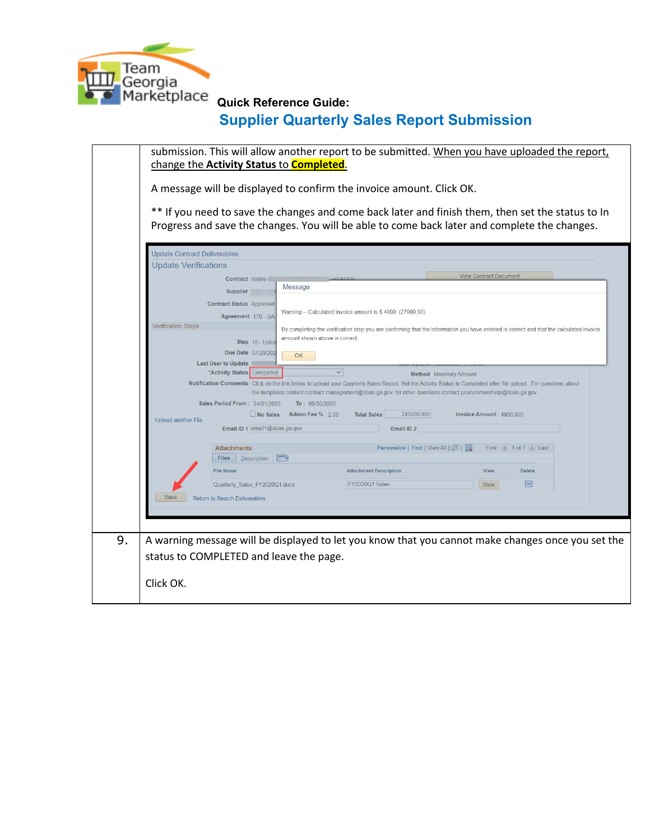

| <b>Update Contract Deliverables</b><br><b>Update Verifications</b> |                                                                                                  | Progress and save the changes. You will be able to come back later and complete the changes.                                                                                                                                                                                                                                                           |                               |                           |
|--------------------------------------------------------------------|--------------------------------------------------------------------------------------------------|--------------------------------------------------------------------------------------------------------------------------------------------------------------------------------------------------------------------------------------------------------------------------------------------------------------------------------------------------------|-------------------------------|---------------------------|
|                                                                    | Contract 99999-<br>Message                                                                       | HEADED                                                                                                                                                                                                                                                                                                                                                 | <b>View Contract Document</b> |                           |
|                                                                    | <b>Supplier</b><br><b>Contract Status Approved</b><br>Agreement 170 - GA                         | Warning -- Calculated Invoice amount is \$4900. (27999,90)                                                                                                                                                                                                                                                                                             |                               |                           |
|                                                                    | Step 10 - Uploa<br>Due Date 07/20/202<br>OK<br>Last User to Update<br>*Activity Status Completed | By completing the verification step you are confirming that the information you have entered is correct and that the calculated invoice<br>amount shown above is correct<br>$\checkmark$<br><b>Method</b> Monetary Amount                                                                                                                              |                               |                           |
| <b>Upload another File</b>                                         | Sales Period From: 04/01/2020<br>No Sales Admin Fee % 2.00<br>Email ID 1 email1@doas.ga.gov      | Notification Comments Click on the link below to upload your Quarterly Sales Report. Set the Activity Status to Completed after file upload. For questions about<br>the templates contact contract management@doas.ga.gov, for other questions contact procurementhelp@doas.ga.gov<br>To: 06/30/2020<br>245000.000<br><b>Total Sales</b><br>Email ID 2 | Invoice Amount 4900,000       |                           |
|                                                                    | <b>Attachments</b>                                                                               | Personalize   Find   View All   [20]                                                                                                                                                                                                                                                                                                                   |                               | First (4) 1 of 1 (b) Last |
|                                                                    | Description (FEE)<br>Files                                                                       |                                                                                                                                                                                                                                                                                                                                                        |                               |                           |
|                                                                    | <b>File Name</b>                                                                                 | <b>Attachment Description</b>                                                                                                                                                                                                                                                                                                                          | View                          | Delete                    |
|                                                                    | Quarterly_Sales_FY2020Q1.docx                                                                    | FY2020Q1 Sales                                                                                                                                                                                                                                                                                                                                         | View                          | $=$                       |
| Save                                                               | <b>Return to Search Deliverables</b>                                                             |                                                                                                                                                                                                                                                                                                                                                        |                               |                           |